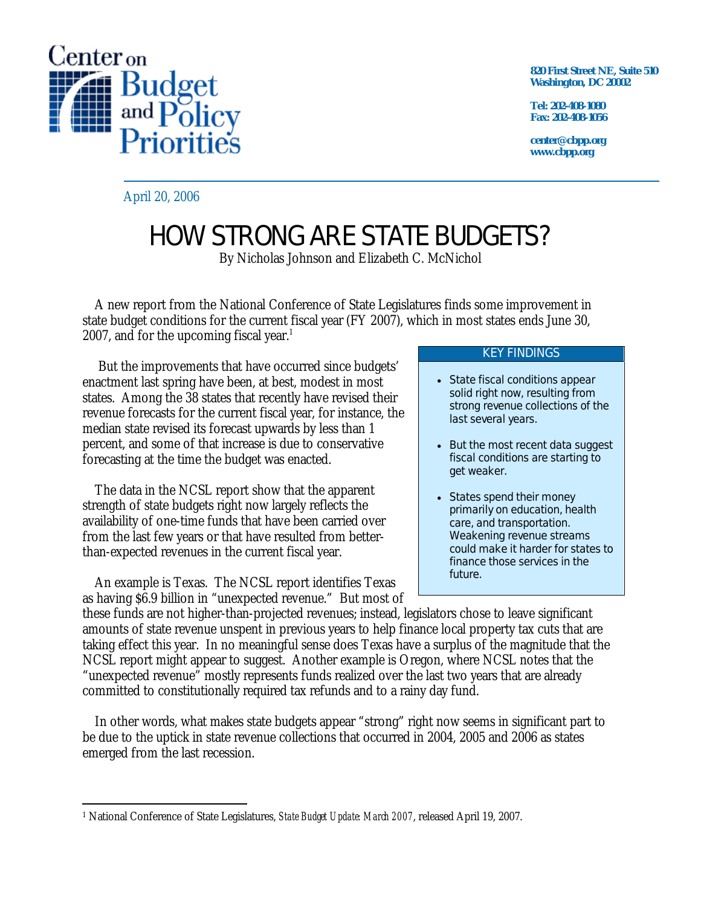

**820 First Street NE, Suite 510 Washington, DC 20002** 

**Tel: 202-408-1080 Fax: 202-408-1056** 

**center@cbpp.org www.cbpp.org** 

April 20, 2006

## HOW STRONG ARE STATE BUDGETS?

By Nicholas Johnson and Elizabeth C. McNichol

 A new report from the National Conference of State Legislatures finds some improvement in state budget conditions for the current fiscal year (FY 2007), which in most states ends June 30, 2007, and for the upcoming fiscal year.<sup>1</sup>

 But the improvements that have occurred since budgets' enactment last spring have been, at best, modest in most states. Among the 38 states that recently have revised their revenue forecasts for the current fiscal year, for instance, the median state revised its forecast upwards by less than 1 percent, and some of that increase is due to conservative forecasting at the time the budget was enacted.

 The data in the NCSL report show that the apparent strength of state budgets right now largely reflects the availability of one-time funds that have been carried over from the last few years or that have resulted from betterthan-expected revenues in the current fiscal year.

 An example is Texas. The NCSL report identifies Texas as having \$6.9 billion in "unexpected revenue." But most of

## KEY FINDINGS

- State fiscal conditions appear solid right now, resulting from strong revenue collections of the last several years.
- But the most recent data suggest fiscal conditions are starting to get weaker.
- States spend their money primarily on education, health care, and transportation. Weakening revenue streams could make it harder for states to finance those services in the future.

these funds are not higher-than-projected revenues; instead, legislators chose to leave significant amounts of state revenue unspent in previous years to help finance local property tax cuts that are taking effect this year. In no meaningful sense does Texas have a surplus of the magnitude that the NCSL report might appear to suggest. Another example is Oregon, where NCSL notes that the "unexpected revenue" mostly represents funds realized over the last two years that are already committed to constitutionally required tax refunds and to a rainy day fund.

 In other words, what makes state budgets appear "strong" right now seems in significant part to be due to the uptick in state revenue collections that occurred in 2004, 2005 and 2006 as states emerged from the last recession.

<sup>-</sup>1 National Conference of State Legislatures, *State Budget Update: March 2007*, released April 19, 2007.